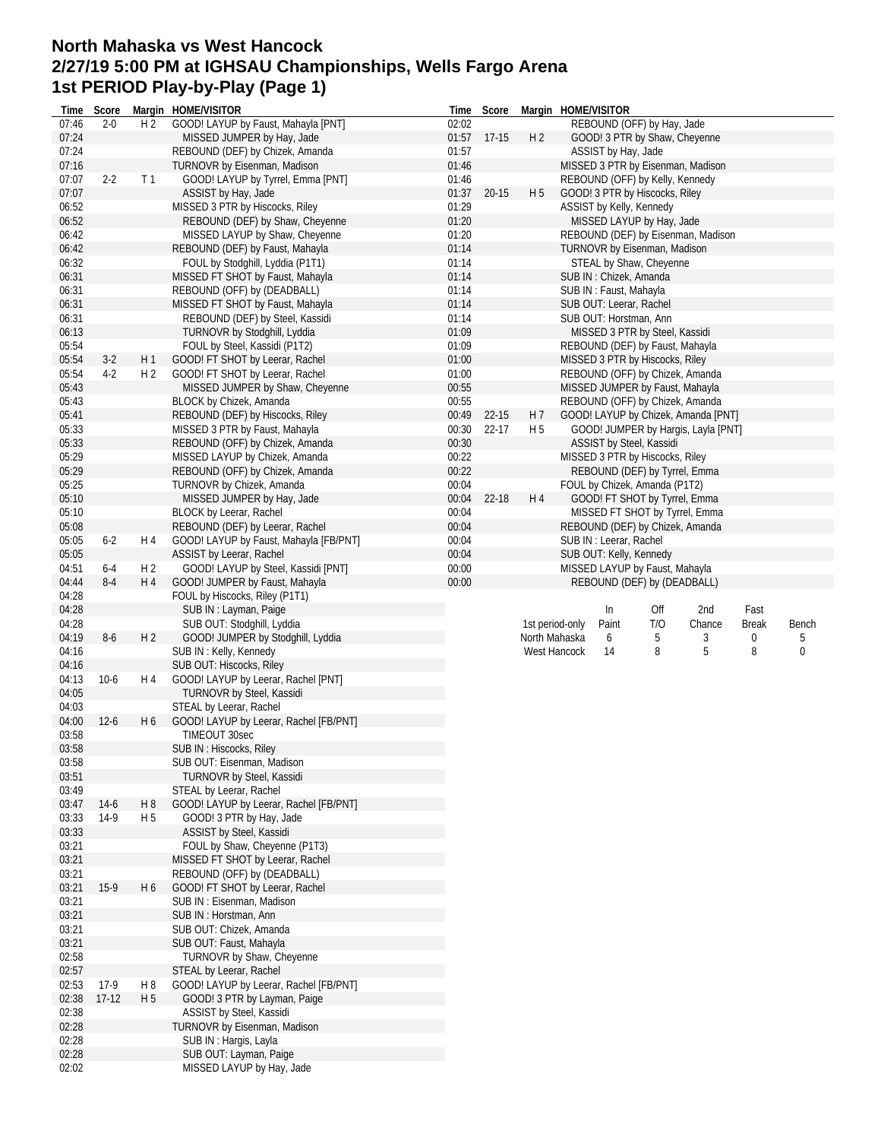## **North Mahaska vs West Hancock 2/27/19 5:00 PM at IGHSAU Championships, Wells Fargo Arena 1st PERIOD Play-by-Play (Page 1)**

| Time           | Score    |                | Margin HOME/VISITOR                             |       | Time Score  | Margin HOME/VISITOR |                         |                                 |                                     |              |       |
|----------------|----------|----------------|-------------------------------------------------|-------|-------------|---------------------|-------------------------|---------------------------------|-------------------------------------|--------------|-------|
| 07:46          | $2 - 0$  | H <sub>2</sub> | GOOD! LAYUP by Faust, Mahayla [PNT]             | 02:02 |             |                     |                         | REBOUND (OFF) by Hay, Jade      |                                     |              |       |
| 07:24          |          |                | MISSED JUMPER by Hay, Jade                      |       | 01:57 17-15 | H <sub>2</sub>      |                         | GOOD! 3 PTR by Shaw, Cheyenne   |                                     |              |       |
| 07:24          |          |                | REBOUND (DEF) by Chizek, Amanda                 | 01:57 |             |                     | ASSIST by Hay, Jade     |                                 |                                     |              |       |
| 07:16          |          |                | TURNOVR by Eisenman, Madison                    | 01:46 |             |                     |                         |                                 | MISSED 3 PTR by Eisenman, Madison   |              |       |
| 07:07          | $2 - 2$  | T <sub>1</sub> | GOOD! LAYUP by Tyrrel, Emma [PNT]               | 01:46 |             |                     |                         | REBOUND (OFF) by Kelly, Kennedy |                                     |              |       |
| 07:07          |          |                | ASSIST by Hay, Jade                             | 01:37 | 20-15       | H <sub>5</sub>      |                         | GOOD! 3 PTR by Hiscocks, Riley  |                                     |              |       |
| 06:52          |          |                | MISSED 3 PTR by Hiscocks, Riley                 | 01:29 |             |                     |                         | ASSIST by Kelly, Kennedy        |                                     |              |       |
| 06:52          |          |                | REBOUND (DEF) by Shaw, Cheyenne                 | 01:20 |             |                     |                         | MISSED LAYUP by Hay, Jade       |                                     |              |       |
| 06:42          |          |                | MISSED LAYUP by Shaw, Cheyenne                  | 01:20 |             |                     |                         |                                 | REBOUND (DEF) by Eisenman, Madison  |              |       |
| 06:42          |          |                | REBOUND (DEF) by Faust, Mahayla                 | 01:14 |             |                     |                         | TURNOVR by Eisenman, Madison    |                                     |              |       |
| 06:32          |          |                | FOUL by Stodghill, Lyddia (P1T1)                | 01:14 |             |                     |                         | STEAL by Shaw, Cheyenne         |                                     |              |       |
| 06:31          |          |                | MISSED FT SHOT by Faust, Mahayla                | 01:14 |             |                     | SUB IN: Chizek, Amanda  |                                 |                                     |              |       |
| 06:31          |          |                | REBOUND (OFF) by (DEADBALL)                     | 01:14 |             |                     | SUB IN: Faust, Mahayla  |                                 |                                     |              |       |
| 06:31          |          |                | MISSED FT SHOT by Faust, Mahayla                | 01:14 |             |                     |                         | SUB OUT: Leerar, Rachel         |                                     |              |       |
| 06:31          |          |                | REBOUND (DEF) by Steel, Kassidi                 | 01:14 |             |                     |                         | SUB OUT: Horstman, Ann          |                                     |              |       |
| 06:13          |          |                | TURNOVR by Stodghill, Lyddia                    | 01:09 |             |                     |                         | MISSED 3 PTR by Steel, Kassidi  |                                     |              |       |
| 05:54          |          |                | FOUL by Steel, Kassidi (P1T2)                   | 01:09 |             |                     |                         | REBOUND (DEF) by Faust, Mahayla |                                     |              |       |
| 05:54          | $3-2$    | H1             | GOOD! FT SHOT by Leerar, Rachel                 | 01:00 |             |                     |                         | MISSED 3 PTR by Hiscocks, Riley |                                     |              |       |
| 05:54          | $4-2$    | H <sub>2</sub> | GOOD! FT SHOT by Leerar, Rachel                 | 01:00 |             |                     |                         |                                 | REBOUND (OFF) by Chizek, Amanda     |              |       |
| 05:43          |          |                | MISSED JUMPER by Shaw, Cheyenne                 | 00:55 |             |                     |                         | MISSED JUMPER by Faust, Mahayla |                                     |              |       |
| 05:43          |          |                | BLOCK by Chizek, Amanda                         | 00:55 |             |                     |                         | REBOUND (OFF) by Chizek, Amanda |                                     |              |       |
| 05:41          |          |                | REBOUND (DEF) by Hiscocks, Riley                | 00:49 | $22 - 15$   | H 7                 |                         |                                 | GOOD! LAYUP by Chizek, Amanda [PNT] |              |       |
| 05:33          |          |                | MISSED 3 PTR by Faust, Mahayla                  | 00:30 | $22 - 17$   | H 5                 |                         |                                 | GOOD! JUMPER by Hargis, Layla [PNT] |              |       |
| 05:33          |          |                | REBOUND (OFF) by Chizek, Amanda                 | 00:30 |             |                     |                         | ASSIST by Steel, Kassidi        |                                     |              |       |
| 05:29          |          |                | MISSED LAYUP by Chizek, Amanda                  | 00:22 |             |                     |                         | MISSED 3 PTR by Hiscocks, Riley |                                     |              |       |
| 05:29          |          |                | REBOUND (OFF) by Chizek, Amanda                 | 00:22 |             |                     |                         | REBOUND (DEF) by Tyrrel, Emma   |                                     |              |       |
| 05:25          |          |                | TURNOVR by Chizek, Amanda                       | 00:04 |             |                     |                         | FOUL by Chizek, Amanda (P1T2)   |                                     |              |       |
| 05:10          |          |                | MISSED JUMPER by Hay, Jade                      | 00:04 | 22-18       | H4                  |                         | GOOD! FT SHOT by Tyrrel, Emma   |                                     |              |       |
| 05:10          |          |                | BLOCK by Leerar, Rachel                         | 00:04 |             |                     |                         |                                 | MISSED FT SHOT by Tyrrel, Emma      |              |       |
| 05:08          |          |                | REBOUND (DEF) by Leerar, Rachel                 | 00:04 |             |                     |                         |                                 | REBOUND (DEF) by Chizek, Amanda     |              |       |
| 05:05          | $6 - 2$  | H 4            | GOOD! LAYUP by Faust, Mahayla [FB/PNT]          | 00:04 |             |                     | SUB IN : Leerar, Rachel |                                 |                                     |              |       |
| 05:05          |          |                | ASSIST by Leerar, Rachel                        | 00:04 |             |                     |                         | SUB OUT: Kelly, Kennedy         |                                     |              |       |
|                |          | H <sub>2</sub> | GOOD! LAYUP by Steel, Kassidi [PNT]             | 00:00 |             |                     |                         | MISSED LAYUP by Faust, Mahayla  |                                     |              |       |
| 04:51          | $6-4$    |                |                                                 |       |             |                     |                         |                                 |                                     |              |       |
| 04:44          | $8-4$    | H 4            | GOOD! JUMPER by Faust, Mahayla                  | 00:00 |             |                     |                         | REBOUND (DEF) by (DEADBALL)     |                                     |              |       |
| 04:28          |          |                | FOUL by Hiscocks, Riley (P1T1)                  |       |             |                     |                         |                                 |                                     |              |       |
| 04:28          |          |                | SUB IN: Layman, Paige                           |       |             |                     | In                      | Off                             | 2nd                                 | Fast         |       |
| 04:28          |          |                | SUB OUT: Stodghill, Lyddia                      |       |             | 1st period-only     | Paint                   | T/O                             | Chance                              | <b>Break</b> | Bench |
| 04:19          | $8-6$    | H 2            | GOOD! JUMPER by Stodghill, Lyddia               |       |             | North Mahaska       | 6                       | 5                               | 3                                   | 0            | 5     |
| 04:16          |          |                | SUB IN: Kelly, Kennedy                          |       |             | West Hancock        | 14                      | 8                               | 5                                   | 8            | 0     |
| 04:16          |          |                | SUB OUT: Hiscocks, Riley                        |       |             |                     |                         |                                 |                                     |              |       |
| 04:13          | $10-6$   | H 4            | GOOD! LAYUP by Leerar, Rachel [PNT]             |       |             |                     |                         |                                 |                                     |              |       |
| 04:05          |          |                | TURNOVR by Steel, Kassidi                       |       |             |                     |                         |                                 |                                     |              |       |
| 04:03          |          |                | STEAL by Leerar, Rachel                         |       |             |                     |                         |                                 |                                     |              |       |
| 04:00          | $12 - 6$ | H 6            | GOOD! LAYUP by Leerar, Rachel [FB/PNT]          |       |             |                     |                         |                                 |                                     |              |       |
| 03:58          |          |                | TIMEOUT 30sec                                   |       |             |                     |                         |                                 |                                     |              |       |
| 03:58          |          |                | SUB IN: Hiscocks, Riley                         |       |             |                     |                         |                                 |                                     |              |       |
| 03:58          |          |                | SUB OUT: Eisenman, Madison                      |       |             |                     |                         |                                 |                                     |              |       |
| 03:51          |          |                | TURNOVR by Steel, Kassidi                       |       |             |                     |                         |                                 |                                     |              |       |
| 03:49          |          |                | STEAL by Leerar, Rachel                         |       |             |                     |                         |                                 |                                     |              |       |
| 03:47          | $14-6$   | H8             | GOOD! LAYUP by Leerar, Rachel [FB/PNT]          |       |             |                     |                         |                                 |                                     |              |       |
| 03:33          | $14-9$   | H <sub>5</sub> | GOOD! 3 PTR by Hay, Jade                        |       |             |                     |                         |                                 |                                     |              |       |
| 03:33          |          |                | ASSIST by Steel, Kassidi                        |       |             |                     |                         |                                 |                                     |              |       |
| 03:21          |          |                | FOUL by Shaw, Cheyenne (P1T3)                   |       |             |                     |                         |                                 |                                     |              |       |
| 03:21          |          |                | MISSED FT SHOT by Leerar, Rachel                |       |             |                     |                         |                                 |                                     |              |       |
| 03:21          |          |                | REBOUND (OFF) by (DEADBALL)                     |       |             |                     |                         |                                 |                                     |              |       |
| 03:21          | $15-9$   | H <sub>6</sub> | GOOD! FT SHOT by Leerar, Rachel                 |       |             |                     |                         |                                 |                                     |              |       |
| 03:21          |          |                | SUB IN: Eisenman, Madison                       |       |             |                     |                         |                                 |                                     |              |       |
| 03:21          |          |                | SUB IN: Horstman, Ann                           |       |             |                     |                         |                                 |                                     |              |       |
| 03:21          |          |                | SUB OUT: Chizek, Amanda                         |       |             |                     |                         |                                 |                                     |              |       |
| 03:21          |          |                | SUB OUT: Faust, Mahayla                         |       |             |                     |                         |                                 |                                     |              |       |
| 02:58          |          |                | TURNOVR by Shaw, Cheyenne                       |       |             |                     |                         |                                 |                                     |              |       |
| 02:57          |          |                | STEAL by Leerar, Rachel                         |       |             |                     |                         |                                 |                                     |              |       |
| 02:53          | $17-9$   | H <sub>8</sub> | GOOD! LAYUP by Leerar, Rachel [FB/PNT]          |       |             |                     |                         |                                 |                                     |              |       |
| 02:38          | $17-12$  | H 5            | GOOD! 3 PTR by Layman, Paige                    |       |             |                     |                         |                                 |                                     |              |       |
| 02:38          |          |                | ASSIST by Steel, Kassidi                        |       |             |                     |                         |                                 |                                     |              |       |
| 02:28          |          |                | TURNOVR by Eisenman, Madison                    |       |             |                     |                         |                                 |                                     |              |       |
| 02:28<br>02:28 |          |                | SUB IN: Hargis, Layla<br>SUB OUT: Layman, Paige |       |             |                     |                         |                                 |                                     |              |       |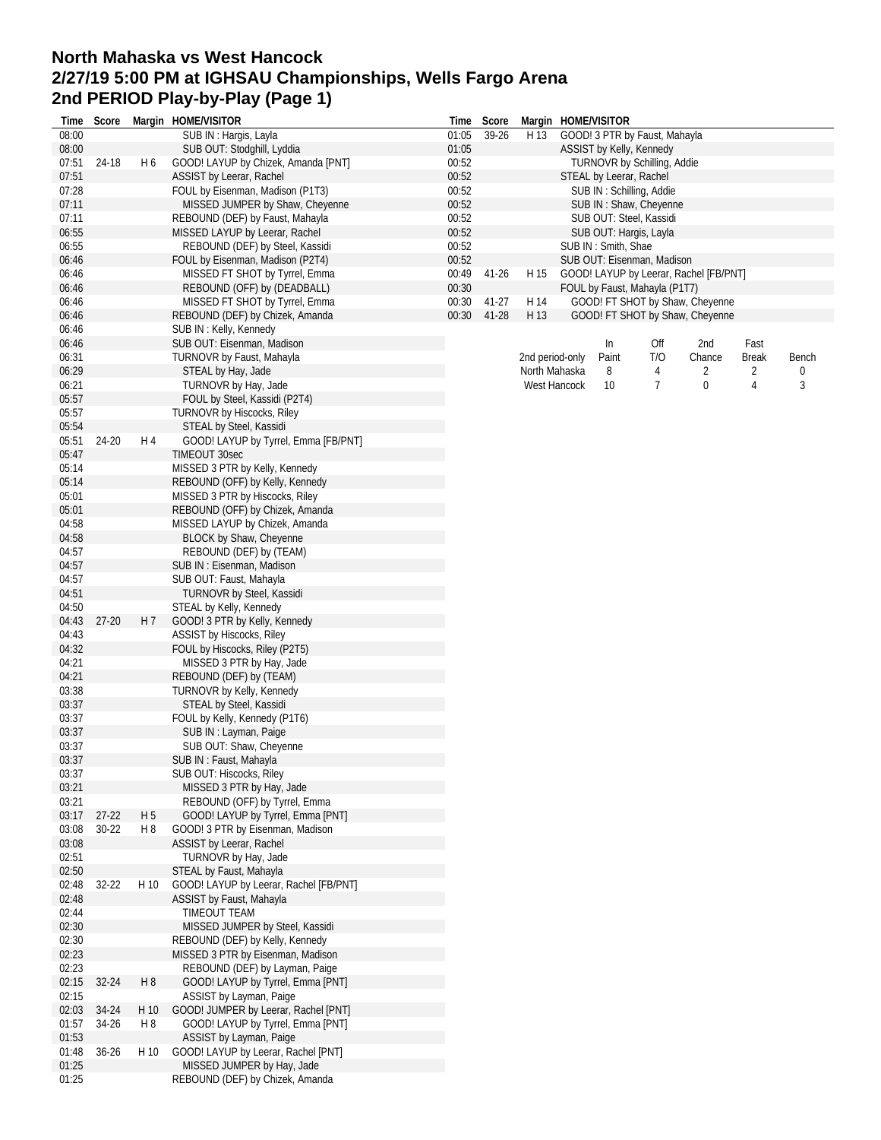## **North Mahaska vs West Hancock 2/27/19 5:00 PM at IGHSAU Championships, Wells Fargo Arena 2nd PERIOD Play-by-Play (Page 1)**

| Time           | Score     |                | Margin HOME/VISITOR                                  | Time  | Score     |      | Margin HOME/VISITOR      |                          |                               |                                        |              |       |
|----------------|-----------|----------------|------------------------------------------------------|-------|-----------|------|--------------------------|--------------------------|-------------------------------|----------------------------------------|--------------|-------|
| 08:00          |           |                | SUB IN: Hargis, Layla                                | 01:05 | 39-26     | H 13 |                          |                          | GOOD! 3 PTR by Faust, Mahayla |                                        |              |       |
| 08:00          |           |                | SUB OUT: Stodghill, Lyddia                           | 01:05 |           |      | ASSIST by Kelly, Kennedy |                          |                               |                                        |              |       |
| 07:51          | 24-18     | H 6            | GOOD! LAYUP by Chizek, Amanda [PNT]                  | 00:52 |           |      |                          |                          | TURNOVR by Schilling, Addie   |                                        |              |       |
| 07:51          |           |                | ASSIST by Leerar, Rachel                             | 00:52 |           |      | STEAL by Leerar, Rachel  |                          |                               |                                        |              |       |
| 07:28          |           |                | FOUL by Eisenman, Madison (P1T3)                     | 00:52 |           |      |                          | SUB IN: Schilling, Addie |                               |                                        |              |       |
| 07:11          |           |                | MISSED JUMPER by Shaw, Cheyenne                      | 00:52 |           |      |                          |                          | SUB IN: Shaw, Cheyenne        |                                        |              |       |
| 07:11          |           |                | REBOUND (DEF) by Faust, Mahayla                      | 00:52 |           |      |                          | SUB OUT: Steel, Kassidi  |                               |                                        |              |       |
| 06:55          |           |                | MISSED LAYUP by Leerar, Rachel                       | 00:52 |           |      |                          | SUB OUT: Hargis, Layla   |                               |                                        |              |       |
| 06:55          |           |                | REBOUND (DEF) by Steel, Kassidi                      | 00:52 |           |      | SUB IN: Smith, Shae      |                          |                               |                                        |              |       |
| 06:46          |           |                | FOUL by Eisenman, Madison (P2T4)                     | 00:52 |           |      |                          |                          | SUB OUT: Eisenman, Madison    |                                        |              |       |
| 06:46          |           |                | MISSED FT SHOT by Tyrrel, Emma                       | 00:49 | $41 - 26$ | H 15 |                          |                          |                               | GOOD! LAYUP by Leerar, Rachel [FB/PNT] |              |       |
| 06:46          |           |                | REBOUND (OFF) by (DEADBALL)                          | 00:30 |           |      |                          |                          | FOUL by Faust, Mahayla (P1T7) |                                        |              |       |
| 06:46          |           |                | MISSED FT SHOT by Tyrrel, Emma                       | 00:30 | 41-27     | H 14 |                          |                          |                               | GOOD! FT SHOT by Shaw, Cheyenne        |              |       |
| 06:46<br>06:46 |           |                | REBOUND (DEF) by Chizek, Amanda                      | 00:30 | 41-28     | H 13 |                          |                          |                               | GOOD! FT SHOT by Shaw, Cheyenne        |              |       |
| 06:46          |           |                | SUB IN: Kelly, Kennedy<br>SUB OUT: Eisenman, Madison |       |           |      |                          | In                       | Off                           | 2nd                                    | Fast         |       |
| 06:31          |           |                | TURNOVR by Faust, Mahayla                            |       |           |      | 2nd period-only          | Paint                    | T/O                           | Chance                                 | <b>Break</b> | Bench |
| 06:29          |           |                | STEAL by Hay, Jade                                   |       |           |      | North Mahaska            | 8                        | 4                             | 2                                      | 2            | 0     |
| 06:21          |           |                | TURNOVR by Hay, Jade                                 |       |           |      | West Hancock             | 10                       | 7                             | 0                                      | 4            | 3     |
| 05:57          |           |                | FOUL by Steel, Kassidi (P2T4)                        |       |           |      |                          |                          |                               |                                        |              |       |
| 05:57          |           |                | TURNOVR by Hiscocks, Riley                           |       |           |      |                          |                          |                               |                                        |              |       |
| 05:54          |           |                | STEAL by Steel, Kassidi                              |       |           |      |                          |                          |                               |                                        |              |       |
| 05:51          | 24-20     | H 4            | GOOD! LAYUP by Tyrrel, Emma [FB/PNT]                 |       |           |      |                          |                          |                               |                                        |              |       |
| 05:47          |           |                | TIMEOUT 30sec                                        |       |           |      |                          |                          |                               |                                        |              |       |
| 05:14          |           |                | MISSED 3 PTR by Kelly, Kennedy                       |       |           |      |                          |                          |                               |                                        |              |       |
| 05:14          |           |                | REBOUND (OFF) by Kelly, Kennedy                      |       |           |      |                          |                          |                               |                                        |              |       |
| 05:01          |           |                | MISSED 3 PTR by Hiscocks, Riley                      |       |           |      |                          |                          |                               |                                        |              |       |
| 05:01          |           |                | REBOUND (OFF) by Chizek, Amanda                      |       |           |      |                          |                          |                               |                                        |              |       |
| 04:58          |           |                | MISSED LAYUP by Chizek, Amanda                       |       |           |      |                          |                          |                               |                                        |              |       |
| 04:58          |           |                | BLOCK by Shaw, Cheyenne                              |       |           |      |                          |                          |                               |                                        |              |       |
| 04:57          |           |                | REBOUND (DEF) by (TEAM)                              |       |           |      |                          |                          |                               |                                        |              |       |
| 04:57          |           |                | SUB IN: Eisenman, Madison                            |       |           |      |                          |                          |                               |                                        |              |       |
| 04:57          |           |                | SUB OUT: Faust, Mahayla                              |       |           |      |                          |                          |                               |                                        |              |       |
| 04:51          |           |                | TURNOVR by Steel, Kassidi                            |       |           |      |                          |                          |                               |                                        |              |       |
| 04:50          |           |                | STEAL by Kelly, Kennedy                              |       |           |      |                          |                          |                               |                                        |              |       |
| 04:43          | $27 - 20$ | H 7            | GOOD! 3 PTR by Kelly, Kennedy                        |       |           |      |                          |                          |                               |                                        |              |       |
| 04:43          |           |                | ASSIST by Hiscocks, Riley                            |       |           |      |                          |                          |                               |                                        |              |       |
| 04:32          |           |                | FOUL by Hiscocks, Riley (P2T5)                       |       |           |      |                          |                          |                               |                                        |              |       |
| 04:21          |           |                | MISSED 3 PTR by Hay, Jade                            |       |           |      |                          |                          |                               |                                        |              |       |
| 04:21          |           |                | REBOUND (DEF) by (TEAM)                              |       |           |      |                          |                          |                               |                                        |              |       |
| 03:38          |           |                | TURNOVR by Kelly, Kennedy                            |       |           |      |                          |                          |                               |                                        |              |       |
| 03:37          |           |                | STEAL by Steel, Kassidi                              |       |           |      |                          |                          |                               |                                        |              |       |
| 03:37          |           |                | FOUL by Kelly, Kennedy (P1T6)                        |       |           |      |                          |                          |                               |                                        |              |       |
| 03:37          |           |                | SUB IN: Layman, Paige                                |       |           |      |                          |                          |                               |                                        |              |       |
| 03:37          |           |                | SUB OUT: Shaw, Cheyenne                              |       |           |      |                          |                          |                               |                                        |              |       |
| 03:37          |           |                | SUB IN: Faust, Mahayla                               |       |           |      |                          |                          |                               |                                        |              |       |
| 03:37          |           |                | SUB OUT: Hiscocks, Riley                             |       |           |      |                          |                          |                               |                                        |              |       |
| 03:21          |           |                | MISSED 3 PTR by Hay, Jade                            |       |           |      |                          |                          |                               |                                        |              |       |
| 03:21          |           |                | REBOUND (OFF) by Tyrrel, Emma                        |       |           |      |                          |                          |                               |                                        |              |       |
| 03:17          | $27 - 22$ | H <sub>5</sub> | GOOD! LAYUP by Tyrrel, Emma [PNT]                    |       |           |      |                          |                          |                               |                                        |              |       |
| 03:08          | $30 - 22$ | H8             | GOOD! 3 PTR by Eisenman, Madison                     |       |           |      |                          |                          |                               |                                        |              |       |
| 03:08          |           |                | ASSIST by Leerar, Rachel                             |       |           |      |                          |                          |                               |                                        |              |       |
| 02:51          |           |                | TURNOVR by Hay, Jade                                 |       |           |      |                          |                          |                               |                                        |              |       |
| 02:50          |           |                | STEAL by Faust, Mahayla                              |       |           |      |                          |                          |                               |                                        |              |       |
| 02:48          | 32-22     | H 10           | GOOD! LAYUP by Leerar, Rachel [FB/PNT]               |       |           |      |                          |                          |                               |                                        |              |       |
| 02:48          |           |                | ASSIST by Faust, Mahayla                             |       |           |      |                          |                          |                               |                                        |              |       |
| 02:44          |           |                | TIMEOUT TEAM                                         |       |           |      |                          |                          |                               |                                        |              |       |
| 02:30          |           |                | MISSED JUMPER by Steel, Kassidi                      |       |           |      |                          |                          |                               |                                        |              |       |
| 02:30          |           |                | REBOUND (DEF) by Kelly, Kennedy                      |       |           |      |                          |                          |                               |                                        |              |       |
| 02:23          |           |                | MISSED 3 PTR by Eisenman, Madison                    |       |           |      |                          |                          |                               |                                        |              |       |
| 02:23          |           |                | REBOUND (DEF) by Layman, Paige                       |       |           |      |                          |                          |                               |                                        |              |       |
| 02:15          | 32-24     | H 8            | GOOD! LAYUP by Tyrrel, Emma [PNT]                    |       |           |      |                          |                          |                               |                                        |              |       |
| 02:15          |           |                | ASSIST by Layman, Paige                              |       |           |      |                          |                          |                               |                                        |              |       |
| 02:03          | 34-24     | H 10           | GOOD! JUMPER by Leerar, Rachel [PNT]                 |       |           |      |                          |                          |                               |                                        |              |       |
| 01:57          | 34-26     | H 8            | GOOD! LAYUP by Tyrrel, Emma [PNT]                    |       |           |      |                          |                          |                               |                                        |              |       |
| 01:53          |           |                | ASSIST by Layman, Paige                              |       |           |      |                          |                          |                               |                                        |              |       |
| 01:48          | $36 - 26$ | H 10           | GOOD! LAYUP by Leerar, Rachel [PNT]                  |       |           |      |                          |                          |                               |                                        |              |       |
| 01:25          |           |                | MISSED JUMPER by Hay, Jade                           |       |           |      |                          |                          |                               |                                        |              |       |
| 01:25          |           |                | REBOUND (DEF) by Chizek, Amanda                      |       |           |      |                          |                          |                               |                                        |              |       |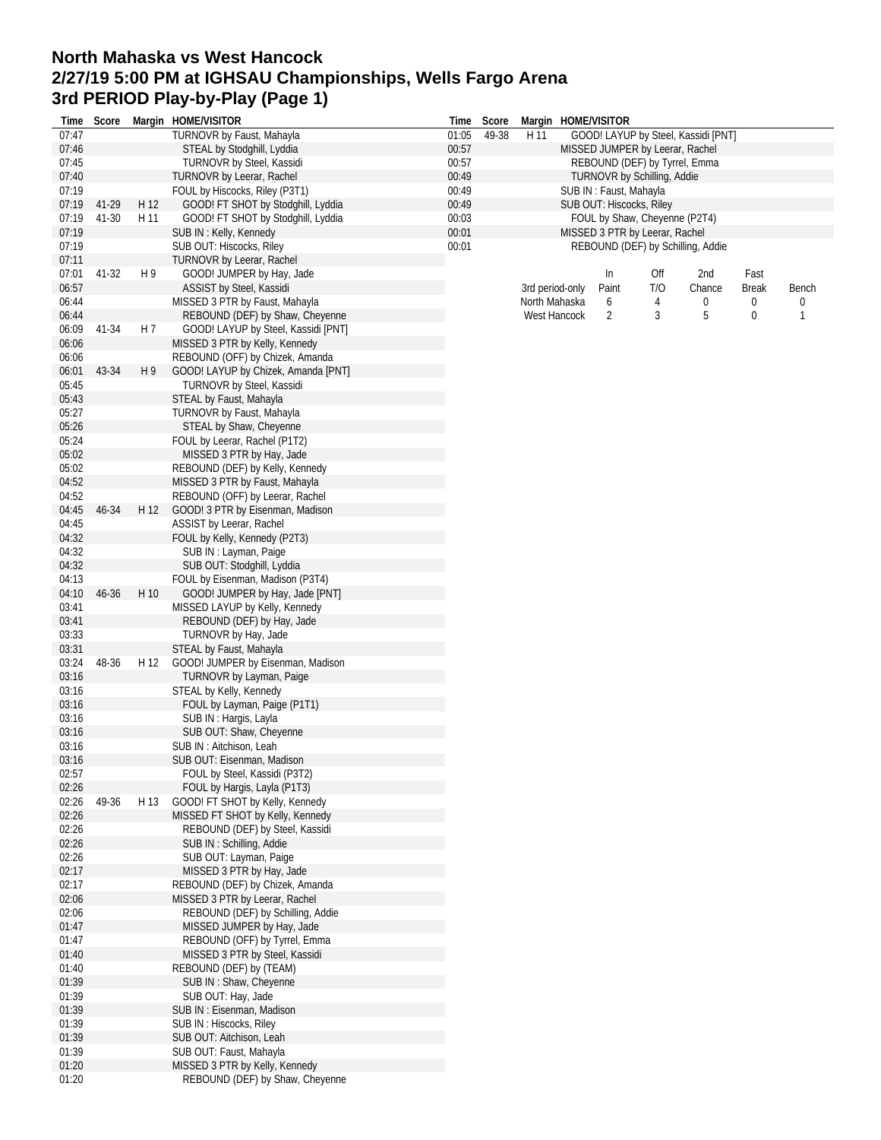## **North Mahaska vs West Hancock 2/27/19 5:00 PM at IGHSAU Championships, Wells Fargo Arena 3rd PERIOD Play-by-Play (Page 1)**

| Time  | Score |                | Margin HOME/VISITOR                 | Time  | Score |      |                 | Margin HOME/VISITOR      |                                    |                                     |              |       |
|-------|-------|----------------|-------------------------------------|-------|-------|------|-----------------|--------------------------|------------------------------------|-------------------------------------|--------------|-------|
| 07:47 |       |                | TURNOVR by Faust, Mahayla           | 01:05 | 49-38 | H 11 |                 |                          |                                    | GOOD! LAYUP by Steel, Kassidi [PNT] |              |       |
| 07:46 |       |                | STEAL by Stodghill, Lyddia          | 00:57 |       |      |                 |                          | MISSED JUMPER by Leerar, Rachel    |                                     |              |       |
| 07:45 |       |                | TURNOVR by Steel, Kassidi           | 00:57 |       |      |                 |                          | REBOUND (DEF) by Tyrrel, Emma      |                                     |              |       |
| 07:40 |       |                | TURNOVR by Leerar, Rachel           | 00:49 |       |      |                 |                          | <b>TURNOVR by Schilling, Addie</b> |                                     |              |       |
| 07:19 |       |                | FOUL by Hiscocks, Riley (P3T1)      | 00:49 |       |      |                 | SUB IN: Faust, Mahayla   |                                    |                                     |              |       |
| 07:19 | 41-29 | H 12           | GOOD! FT SHOT by Stodghill, Lyddia  | 00:49 |       |      |                 | SUB OUT: Hiscocks, Riley |                                    |                                     |              |       |
| 07:19 | 41-30 | H 11           | GOOD! FT SHOT by Stodghill, Lyddia  | 00:03 |       |      |                 |                          | FOUL by Shaw, Cheyenne (P2T4)      |                                     |              |       |
| 07:19 |       |                | SUB IN: Kelly, Kennedy              | 00:01 |       |      |                 |                          | MISSED 3 PTR by Leerar, Rachel     |                                     |              |       |
| 07:19 |       |                | SUB OUT: Hiscocks, Riley            | 00:01 |       |      |                 |                          |                                    | REBOUND (DEF) by Schilling, Addie   |              |       |
| 07:11 |       |                | <b>TURNOVR by Leerar, Rachel</b>    |       |       |      |                 |                          |                                    |                                     |              |       |
| 07:01 | 41-32 | H 9            | GOOD! JUMPER by Hay, Jade           |       |       |      |                 | In                       | Off                                | 2nd                                 | Fast         |       |
| 06:57 |       |                | ASSIST by Steel, Kassidi            |       |       |      | 3rd period-only | Paint                    | T/O                                | Chance                              | <b>Break</b> | Bench |
| 06:44 |       |                | MISSED 3 PTR by Faust, Mahayla      |       |       |      | North Mahaska   | 6                        | 4                                  | 0                                   | 0            | 0     |
| 06:44 |       |                | REBOUND (DEF) by Shaw, Cheyenne     |       |       |      | West Hancock    | 2                        | 3                                  | 5                                   | 0            | 1     |
|       |       | H <sub>7</sub> |                                     |       |       |      |                 |                          |                                    |                                     |              |       |
| 06:09 | 41-34 |                | GOOD! LAYUP by Steel, Kassidi [PNT] |       |       |      |                 |                          |                                    |                                     |              |       |
| 06:06 |       |                | MISSED 3 PTR by Kelly, Kennedy      |       |       |      |                 |                          |                                    |                                     |              |       |
| 06:06 |       |                | REBOUND (OFF) by Chizek, Amanda     |       |       |      |                 |                          |                                    |                                     |              |       |
| 06:01 | 43-34 | H9             | GOOD! LAYUP by Chizek, Amanda [PNT] |       |       |      |                 |                          |                                    |                                     |              |       |
| 05:45 |       |                | <b>TURNOVR by Steel, Kassidi</b>    |       |       |      |                 |                          |                                    |                                     |              |       |
| 05:43 |       |                | STEAL by Faust, Mahayla             |       |       |      |                 |                          |                                    |                                     |              |       |
| 05:27 |       |                | TURNOVR by Faust, Mahayla           |       |       |      |                 |                          |                                    |                                     |              |       |
| 05:26 |       |                | STEAL by Shaw, Cheyenne             |       |       |      |                 |                          |                                    |                                     |              |       |
| 05:24 |       |                | FOUL by Leerar, Rachel (P1T2)       |       |       |      |                 |                          |                                    |                                     |              |       |
| 05:02 |       |                | MISSED 3 PTR by Hay, Jade           |       |       |      |                 |                          |                                    |                                     |              |       |
| 05:02 |       |                | REBOUND (DEF) by Kelly, Kennedy     |       |       |      |                 |                          |                                    |                                     |              |       |
| 04:52 |       |                | MISSED 3 PTR by Faust, Mahayla      |       |       |      |                 |                          |                                    |                                     |              |       |
| 04:52 |       |                | REBOUND (OFF) by Leerar, Rachel     |       |       |      |                 |                          |                                    |                                     |              |       |
| 04:45 | 46-34 | H 12           | GOOD! 3 PTR by Eisenman, Madison    |       |       |      |                 |                          |                                    |                                     |              |       |
| 04:45 |       |                | ASSIST by Leerar, Rachel            |       |       |      |                 |                          |                                    |                                     |              |       |
| 04:32 |       |                | FOUL by Kelly, Kennedy (P2T3)       |       |       |      |                 |                          |                                    |                                     |              |       |
| 04:32 |       |                | SUB IN: Layman, Paige               |       |       |      |                 |                          |                                    |                                     |              |       |
| 04:32 |       |                | SUB OUT: Stodghill, Lyddia          |       |       |      |                 |                          |                                    |                                     |              |       |
| 04:13 |       |                | FOUL by Eisenman, Madison (P3T4)    |       |       |      |                 |                          |                                    |                                     |              |       |
| 04:10 | 46-36 | H 10           | GOOD! JUMPER by Hay, Jade [PNT]     |       |       |      |                 |                          |                                    |                                     |              |       |
| 03:41 |       |                | MISSED LAYUP by Kelly, Kennedy      |       |       |      |                 |                          |                                    |                                     |              |       |
| 03:41 |       |                | REBOUND (DEF) by Hay, Jade          |       |       |      |                 |                          |                                    |                                     |              |       |
| 03:33 |       |                | TURNOVR by Hay, Jade                |       |       |      |                 |                          |                                    |                                     |              |       |
| 03:31 |       |                | STEAL by Faust, Mahayla             |       |       |      |                 |                          |                                    |                                     |              |       |
| 03:24 | 48-36 | H 12           | GOOD! JUMPER by Eisenman, Madison   |       |       |      |                 |                          |                                    |                                     |              |       |
| 03:16 |       |                | TURNOVR by Layman, Paige            |       |       |      |                 |                          |                                    |                                     |              |       |
| 03:16 |       |                | STEAL by Kelly, Kennedy             |       |       |      |                 |                          |                                    |                                     |              |       |
|       |       |                |                                     |       |       |      |                 |                          |                                    |                                     |              |       |
| 03:16 |       |                | FOUL by Layman, Paige (P1T1)        |       |       |      |                 |                          |                                    |                                     |              |       |
| 03:16 |       |                | SUB IN: Hargis, Layla               |       |       |      |                 |                          |                                    |                                     |              |       |
| 03:16 |       |                | SUB OUT: Shaw, Cheyenne             |       |       |      |                 |                          |                                    |                                     |              |       |
| 03:16 |       |                | SUB IN: Aitchison, Leah             |       |       |      |                 |                          |                                    |                                     |              |       |
| 03:16 |       |                | SUB OUT: Eisenman, Madison          |       |       |      |                 |                          |                                    |                                     |              |       |
| 02:57 |       |                | FOUL by Steel, Kassidi (P3T2)       |       |       |      |                 |                          |                                    |                                     |              |       |
| 02:26 |       |                | FOUL by Hargis, Layla (P1T3)        |       |       |      |                 |                          |                                    |                                     |              |       |
| 02:26 | 49-36 | H 13           | GOOD! FT SHOT by Kelly, Kennedy     |       |       |      |                 |                          |                                    |                                     |              |       |
| 02:26 |       |                | MISSED FT SHOT by Kelly, Kennedy    |       |       |      |                 |                          |                                    |                                     |              |       |
| 02:26 |       |                | REBOUND (DEF) by Steel, Kassidi     |       |       |      |                 |                          |                                    |                                     |              |       |
| 02:26 |       |                | SUB IN: Schilling, Addie            |       |       |      |                 |                          |                                    |                                     |              |       |
| 02:26 |       |                | SUB OUT: Layman, Paige              |       |       |      |                 |                          |                                    |                                     |              |       |
| 02:17 |       |                | MISSED 3 PTR by Hay, Jade           |       |       |      |                 |                          |                                    |                                     |              |       |
| 02:17 |       |                | REBOUND (DEF) by Chizek, Amanda     |       |       |      |                 |                          |                                    |                                     |              |       |
| 02:06 |       |                | MISSED 3 PTR by Leerar, Rachel      |       |       |      |                 |                          |                                    |                                     |              |       |
| 02:06 |       |                | REBOUND (DEF) by Schilling, Addie   |       |       |      |                 |                          |                                    |                                     |              |       |
| 01:47 |       |                | MISSED JUMPER by Hay, Jade          |       |       |      |                 |                          |                                    |                                     |              |       |
| 01:47 |       |                | REBOUND (OFF) by Tyrrel, Emma       |       |       |      |                 |                          |                                    |                                     |              |       |
| 01:40 |       |                | MISSED 3 PTR by Steel, Kassidi      |       |       |      |                 |                          |                                    |                                     |              |       |
| 01:40 |       |                | REBOUND (DEF) by (TEAM)             |       |       |      |                 |                          |                                    |                                     |              |       |
| 01:39 |       |                | SUB IN: Shaw, Cheyenne              |       |       |      |                 |                          |                                    |                                     |              |       |
| 01:39 |       |                | SUB OUT: Hay, Jade                  |       |       |      |                 |                          |                                    |                                     |              |       |
| 01:39 |       |                | SUB IN: Eisenman, Madison           |       |       |      |                 |                          |                                    |                                     |              |       |
| 01:39 |       |                | SUB IN: Hiscocks, Riley             |       |       |      |                 |                          |                                    |                                     |              |       |
| 01:39 |       |                | SUB OUT: Aitchison, Leah            |       |       |      |                 |                          |                                    |                                     |              |       |
| 01:39 |       |                | SUB OUT: Faust, Mahayla             |       |       |      |                 |                          |                                    |                                     |              |       |
| 01:20 |       |                | MISSED 3 PTR by Kelly, Kennedy      |       |       |      |                 |                          |                                    |                                     |              |       |
| 01:20 |       |                |                                     |       |       |      |                 |                          |                                    |                                     |              |       |
|       |       |                | REBOUND (DEF) by Shaw, Cheyenne     |       |       |      |                 |                          |                                    |                                     |              |       |